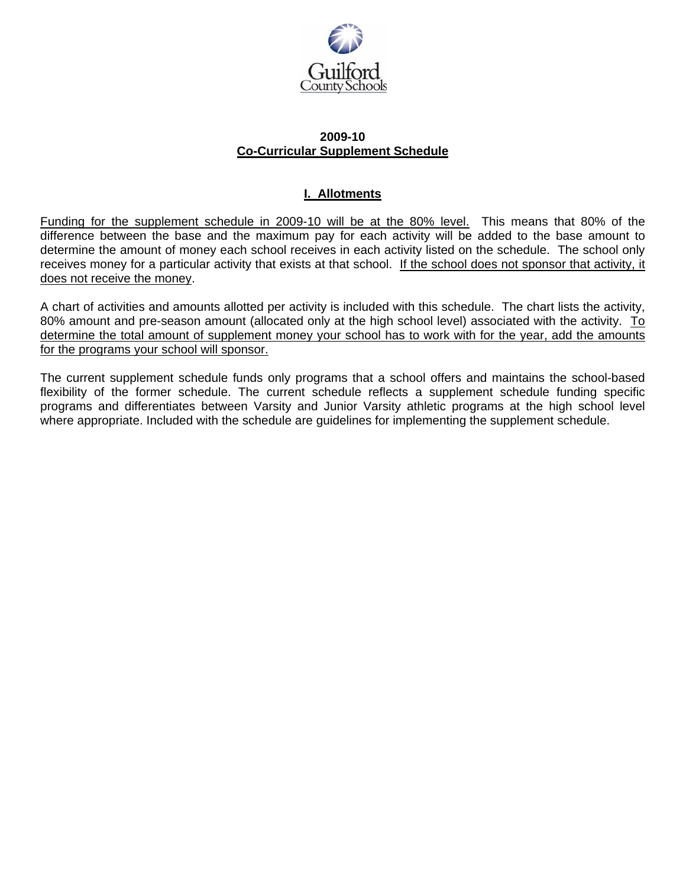

### **2009-10 Co-Curricular Supplement Schedule**

### **I. Allotments**

Funding for the supplement schedule in 2009-10 will be at the 80% level. This means that 80% of the difference between the base and the maximum pay for each activity will be added to the base amount to determine the amount of money each school receives in each activity listed on the schedule. The school only receives money for a particular activity that exists at that school. If the school does not sponsor that activity, it does not receive the money.

A chart of activities and amounts allotted per activity is included with this schedule. The chart lists the activity, 80% amount and pre-season amount (allocated only at the high school level) associated with the activity. To determine the total amount of supplement money your school has to work with for the year, add the amounts for the programs your school will sponsor.

The current supplement schedule funds only programs that a school offers and maintains the school-based flexibility of the former schedule. The current schedule reflects a supplement schedule funding specific programs and differentiates between Varsity and Junior Varsity athletic programs at the high school level where appropriate. Included with the schedule are guidelines for implementing the supplement schedule.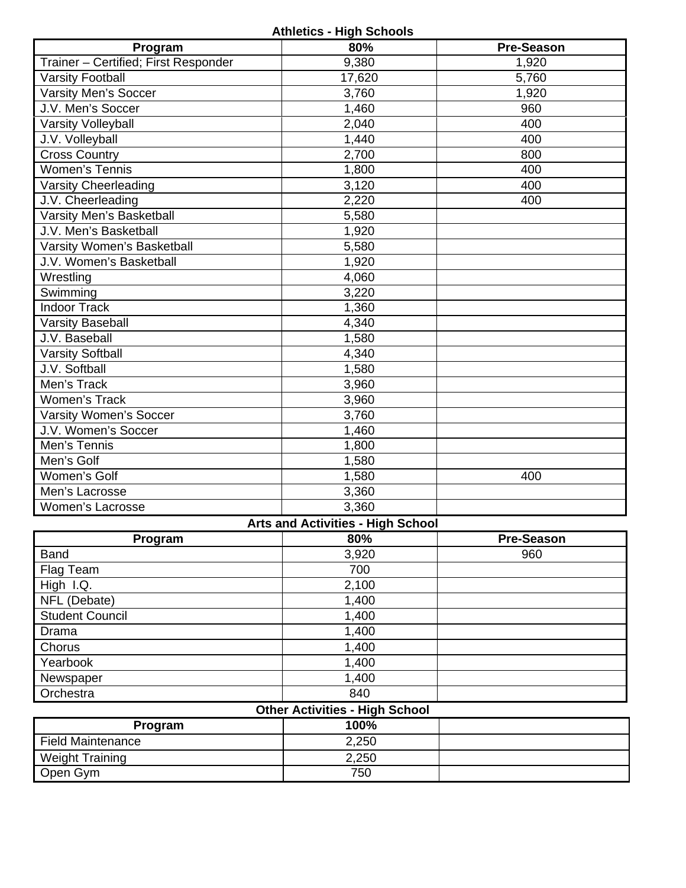# **Athletics - High Schools**

| Program                              | 80%                                      | <b>Pre-Season</b> |
|--------------------------------------|------------------------------------------|-------------------|
| Trainer - Certified; First Responder | 9,380                                    | 1,920             |
| <b>Varsity Football</b>              | 17,620                                   | 5,760             |
| <b>Varsity Men's Soccer</b>          | 3,760                                    | 1,920             |
| J.V. Men's Soccer                    | 1,460                                    | 960               |
| <b>Varsity Volleyball</b>            | 2,040                                    | 400               |
| J.V. Volleyball                      | 1,440                                    | 400               |
| <b>Cross Country</b>                 | 2,700                                    | 800               |
| <b>Women's Tennis</b>                | 1,800                                    | 400               |
| <b>Varsity Cheerleading</b>          | 3,120                                    | 400               |
| J.V. Cheerleading                    | 2,220                                    | 400               |
| Varsity Men's Basketball             | 5,580                                    |                   |
| J.V. Men's Basketball                | 1,920                                    |                   |
| Varsity Women's Basketball           | 5,580                                    |                   |
| J.V. Women's Basketball              | 1,920                                    |                   |
| Wrestling                            | 4,060                                    |                   |
| Swimming                             | 3,220                                    |                   |
| <b>Indoor Track</b>                  | 1,360                                    |                   |
| <b>Varsity Baseball</b>              | 4,340                                    |                   |
| J.V. Baseball                        | 1,580                                    |                   |
| <b>Varsity Softball</b>              | 4,340                                    |                   |
| J.V. Softball                        | 1,580                                    |                   |
| Men's Track                          | 3,960                                    |                   |
| <b>Women's Track</b>                 | 3,960                                    |                   |
| <b>Varsity Women's Soccer</b>        | 3,760                                    |                   |
| J.V. Women's Soccer                  | 1,460                                    |                   |
| Men's Tennis                         | 1,800                                    |                   |
| Men's Golf                           | 1,580                                    |                   |
| Women's Golf                         | 1,580                                    | 400               |
| Men's Lacrosse                       | 3,360                                    |                   |
| <b>Women's Lacrosse</b>              | 3,360                                    |                   |
|                                      | <b>Arts and Activities - High School</b> |                   |

| Program                | 80%   | <b>Pre-Season</b> |
|------------------------|-------|-------------------|
| <b>Band</b>            | 3,920 | 960               |
| Flag Team              | 700   |                   |
| High I.Q.              | 2,100 |                   |
| NFL (Debate)           | 1,400 |                   |
| <b>Student Council</b> | 1,400 |                   |
| Drama                  | 1,400 |                   |
| Chorus                 | 1,400 |                   |
| Yearbook               | 1,400 |                   |
| Newspaper              | 1,400 |                   |
| Orchestra              | 840   |                   |

# **Other Activities - High School**

| Program                  | 100%  |  |
|--------------------------|-------|--|
| <b>Field Maintenance</b> | 2,250 |  |
| <b>Weight Training</b>   | 2,250 |  |
| Open Gym                 | 750   |  |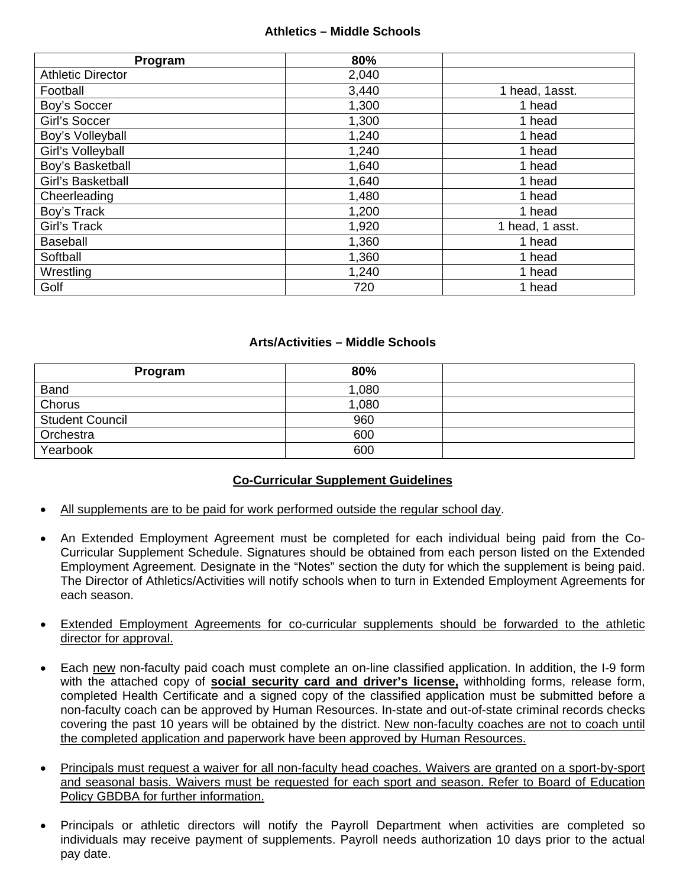### **Athletics – Middle Schools**

| Program                  | 80%   |                 |
|--------------------------|-------|-----------------|
| <b>Athletic Director</b> | 2,040 |                 |
| Football                 | 3,440 | 1 head, 1asst.  |
| Boy's Soccer             | 1,300 | 1 head          |
| Girl's Soccer            | 1,300 | 1 head          |
| Boy's Volleyball         | 1,240 | 1 head          |
| Girl's Volleyball        | 1,240 | 1 head          |
| Boy's Basketball         | 1,640 | 1 head          |
| Girl's Basketball        | 1,640 | 1 head          |
| Cheerleading             | 1,480 | 1 head          |
| Boy's Track              | 1,200 | 1 head          |
| Girl's Track             | 1,920 | 1 head, 1 asst. |
| <b>Baseball</b>          | 1,360 | 1 head          |
| Softball                 | 1,360 | 1 head          |
| Wrestling                | 1,240 | 1 head          |
| Golf                     | 720   | 1 head          |

### **Arts/Activities – Middle Schools**

| Program                | 80%   |  |
|------------------------|-------|--|
| <b>Band</b>            | 1,080 |  |
| Chorus                 | 1,080 |  |
| <b>Student Council</b> | 960   |  |
| Orchestra              | 600   |  |
| Yearbook               | 600   |  |

### **Co-Curricular Supplement Guidelines**

- All supplements are to be paid for work performed outside the regular school day.
- An Extended Employment Agreement must be completed for each individual being paid from the Co-Curricular Supplement Schedule. Signatures should be obtained from each person listed on the Extended Employment Agreement. Designate in the "Notes" section the duty for which the supplement is being paid. The Director of Athletics/Activities will notify schools when to turn in Extended Employment Agreements for each season.
- Extended Employment Agreements for co-curricular supplements should be forwarded to the athletic director for approval.
- Each new non-faculty paid coach must complete an on-line classified application. In addition, the I-9 form with the attached copy of **social security card and driver's license,** withholding forms, release form, completed Health Certificate and a signed copy of the classified application must be submitted before a non-faculty coach can be approved by Human Resources. In-state and out-of-state criminal records checks covering the past 10 years will be obtained by the district. New non-faculty coaches are not to coach until the completed application and paperwork have been approved by Human Resources.
- Principals must request a waiver for all non-faculty head coaches. Waivers are granted on a sport-by-sport and seasonal basis. Waivers must be requested for each sport and season. Refer to Board of Education Policy GBDBA for further information.
- Principals or athletic directors will notify the Payroll Department when activities are completed so individuals may receive payment of supplements. Payroll needs authorization 10 days prior to the actual pay date.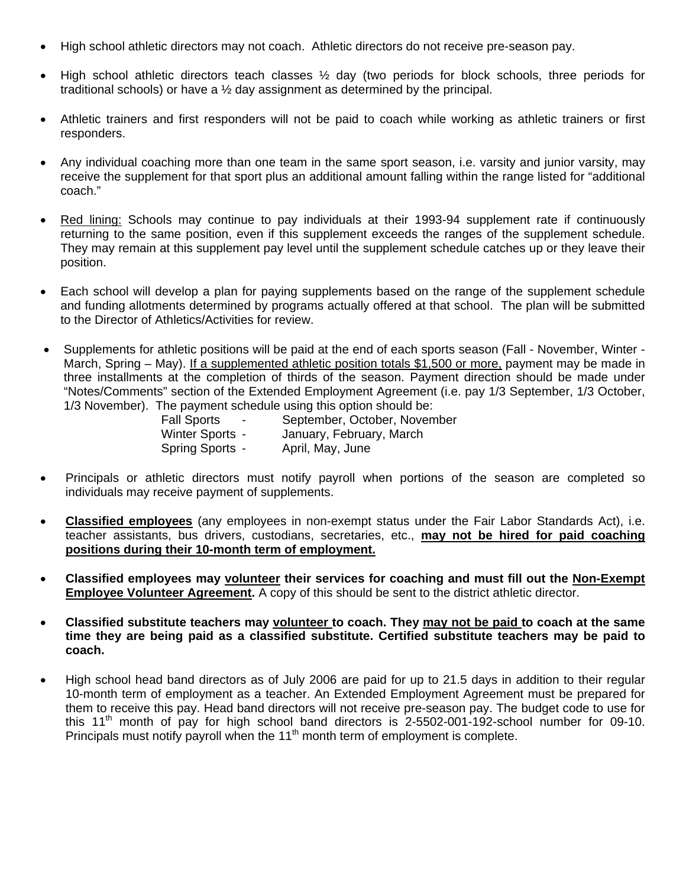- High school athletic directors may not coach. Athletic directors do not receive pre-season pay.
- High school athletic directors teach classes  $\frac{1}{2}$  day (two periods for block schools, three periods for traditional schools) or have a ½ day assignment as determined by the principal.
- Athletic trainers and first responders will not be paid to coach while working as athletic trainers or first responders.
- Any individual coaching more than one team in the same sport season, i.e. varsity and junior varsity, may receive the supplement for that sport plus an additional amount falling within the range listed for "additional coach."
- Red lining: Schools may continue to pay individuals at their 1993-94 supplement rate if continuously returning to the same position, even if this supplement exceeds the ranges of the supplement schedule. They may remain at this supplement pay level until the supplement schedule catches up or they leave their position.
- Each school will develop a plan for paying supplements based on the range of the supplement schedule and funding allotments determined by programs actually offered at that school. The plan will be submitted to the Director of Athletics/Activities for review.
- Supplements for athletic positions will be paid at the end of each sports season (Fall November, Winter March, Spring – May). If a supplemented athletic position totals \$1,500 or more, payment may be made in three installments at the completion of thirds of the season. Payment direction should be made under "Notes/Comments" section of the Extended Employment Agreement (i.e. pay 1/3 September, 1/3 October, 1/3 November). The payment schedule using this option should be:

| <b>Fall Sports</b><br>$\overline{\phantom{0}}$ | September, October, November |
|------------------------------------------------|------------------------------|
| Winter Sports -                                | January, February, March     |
| Spring Sports -                                | April, May, June             |

- Principals or athletic directors must notify payroll when portions of the season are completed so individuals may receive payment of supplements.
- **Classified employees** (any employees in non-exempt status under the Fair Labor Standards Act), i.e. teacher assistants, bus drivers, custodians, secretaries, etc., **may not be hired for paid coaching positions during their 10-month term of employment.**
- **Classified employees may volunteer their services for coaching and must fill out the Non-Exempt Employee Volunteer Agreement.** A copy of this should be sent to the district athletic director.
- **Classified substitute teachers may volunteer to coach. They may not be paid to coach at the same time they are being paid as a classified substitute. Certified substitute teachers may be paid to coach.**
- High school head band directors as of July 2006 are paid for up to 21.5 days in addition to their regular 10-month term of employment as a teacher. An Extended Employment Agreement must be prepared for them to receive this pay. Head band directors will not receive pre-season pay. The budget code to use for this 11<sup>th</sup> month of pay for high school band directors is  $2-5502-001-192$ -school number for 09-10. Principals must notify payroll when the  $11<sup>th</sup>$  month term of employment is complete.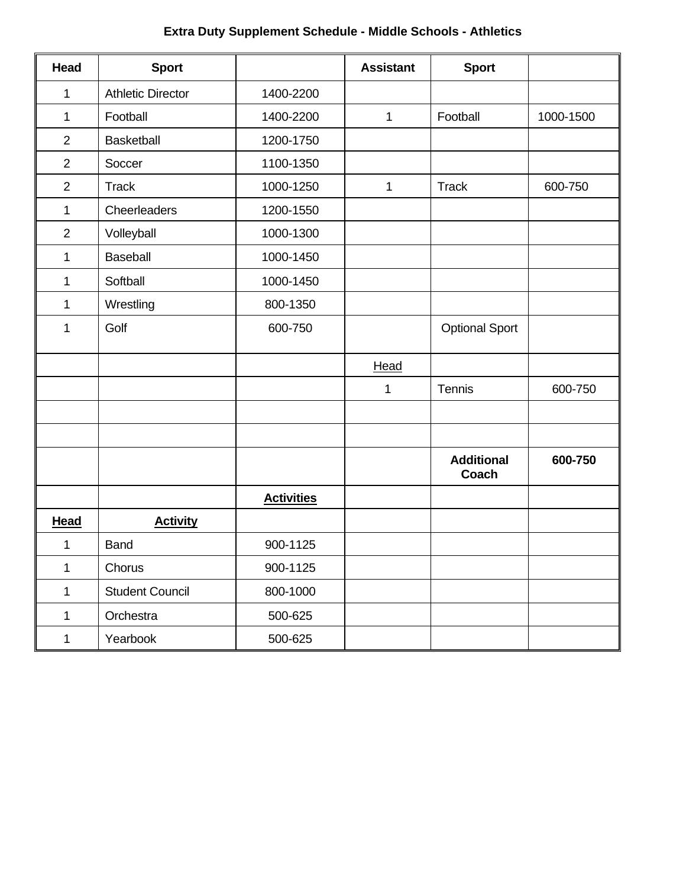# **Extra Duty Supplement Schedule - Middle Schools - Athletics**

| Head           | <b>Sport</b>             |                   | <b>Assistant</b> | <b>Sport</b>               |           |
|----------------|--------------------------|-------------------|------------------|----------------------------|-----------|
| 1              | <b>Athletic Director</b> | 1400-2200         |                  |                            |           |
| 1              | Football                 | 1400-2200         | 1                | Football                   | 1000-1500 |
| $\overline{2}$ | <b>Basketball</b>        | 1200-1750         |                  |                            |           |
| $\overline{2}$ | Soccer                   | 1100-1350         |                  |                            |           |
| $\overline{2}$ | <b>Track</b>             | 1000-1250         | 1                | <b>Track</b>               | 600-750   |
| 1              | Cheerleaders             | 1200-1550         |                  |                            |           |
| $\overline{2}$ | Volleyball               | 1000-1300         |                  |                            |           |
| 1              | <b>Baseball</b>          | 1000-1450         |                  |                            |           |
| 1              | Softball                 | 1000-1450         |                  |                            |           |
| $\mathbf{1}$   | Wrestling                | 800-1350          |                  |                            |           |
| 1              | Golf                     | 600-750           |                  | <b>Optional Sport</b>      |           |
|                |                          |                   | Head             |                            |           |
|                |                          |                   | 1                | Tennis                     | 600-750   |
|                |                          |                   |                  |                            |           |
|                |                          |                   |                  | <b>Additional</b><br>Coach | 600-750   |
|                |                          | <b>Activities</b> |                  |                            |           |
| <b>Head</b>    | <b>Activity</b>          |                   |                  |                            |           |
| 1              | <b>Band</b>              | 900-1125          |                  |                            |           |
| 1              | Chorus                   | 900-1125          |                  |                            |           |
| $\mathbf{1}$   | <b>Student Council</b>   | 800-1000          |                  |                            |           |
| 1              | Orchestra                | 500-625           |                  |                            |           |
| $\mathbf 1$    | Yearbook                 | 500-625           |                  |                            |           |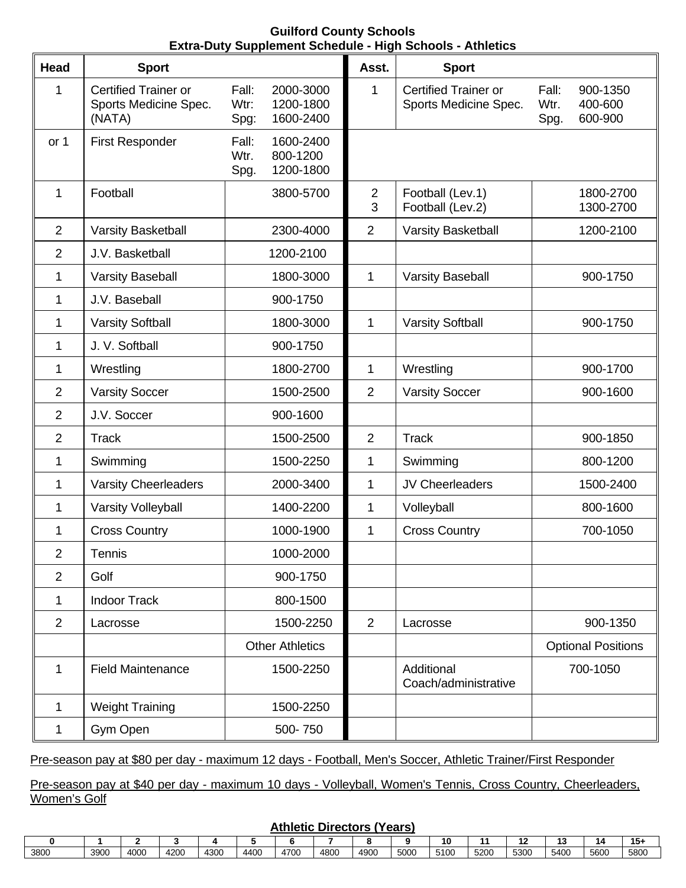### **Guilford County Schools Extra-Duty Supplement Schedule - High Schools - Athletics**

| Head           | <b>Sport</b>                                                   | -And Daty Sappioniont Soncadio                               | Asst.               | www.comedition.com<br><b>Sport</b>                   |                                                         |
|----------------|----------------------------------------------------------------|--------------------------------------------------------------|---------------------|------------------------------------------------------|---------------------------------------------------------|
| 1              | <b>Certified Trainer or</b><br>Sports Medicine Spec.<br>(NATA) | Fall:<br>2000-3000<br>Wtr:<br>1200-1800<br>1600-2400<br>Spg: | 1                   | <b>Certified Trainer or</b><br>Sports Medicine Spec. | Fall:<br>900-1350<br>Wtr.<br>400-600<br>600-900<br>Spg. |
| or 1           | <b>First Responder</b>                                         | 1600-2400<br>Fall:<br>800-1200<br>Wtr.<br>1200-1800<br>Spg.  |                     |                                                      |                                                         |
| 1              | Football                                                       | 3800-5700                                                    | $\overline{2}$<br>3 | Football (Lev.1)<br>Football (Lev.2)                 | 1800-2700<br>1300-2700                                  |
| $\overline{2}$ | Varsity Basketball                                             | 2300-4000                                                    | $\overline{2}$      | Varsity Basketball                                   | 1200-2100                                               |
| $\overline{2}$ | J.V. Basketball                                                | 1200-2100                                                    |                     |                                                      |                                                         |
| 1              | <b>Varsity Baseball</b>                                        | 1800-3000                                                    | $\mathbf 1$         | <b>Varsity Baseball</b>                              | 900-1750                                                |
| 1              | J.V. Baseball                                                  | 900-1750                                                     |                     |                                                      |                                                         |
| 1              | <b>Varsity Softball</b>                                        | 1800-3000                                                    | 1                   | <b>Varsity Softball</b>                              | 900-1750                                                |
| 1              | J. V. Softball                                                 | 900-1750                                                     |                     |                                                      |                                                         |
| 1              | Wrestling                                                      | 1800-2700                                                    | 1                   | Wrestling                                            | 900-1700                                                |
| $\overline{2}$ | <b>Varsity Soccer</b>                                          | 1500-2500                                                    | $\overline{2}$      | <b>Varsity Soccer</b>                                | 900-1600                                                |
| $\overline{2}$ | J.V. Soccer                                                    | 900-1600                                                     |                     |                                                      |                                                         |
| $\overline{2}$ | <b>Track</b>                                                   | 1500-2500                                                    | $\overline{2}$      | <b>Track</b>                                         | 900-1850                                                |
| 1              | Swimming                                                       | 1500-2250                                                    | 1                   | Swimming                                             | 800-1200                                                |
| 1              | <b>Varsity Cheerleaders</b>                                    | 2000-3400                                                    | 1                   | JV Cheerleaders                                      | 1500-2400                                               |
| 1              | Varsity Volleyball                                             | 1400-2200                                                    | 1                   | Volleyball                                           | 800-1600                                                |
| 1              | <b>Cross Country</b>                                           | 1000-1900                                                    | 1                   | <b>Cross Country</b>                                 | 700-1050                                                |
| $\overline{2}$ | Tennis                                                         | 1000-2000                                                    |                     |                                                      |                                                         |
| $\overline{2}$ | Golf                                                           | 900-1750                                                     |                     |                                                      |                                                         |
| 1              | <b>Indoor Track</b>                                            | 800-1500                                                     |                     |                                                      |                                                         |
| $\overline{2}$ | Lacrosse                                                       | 1500-2250                                                    | $\overline{2}$      | Lacrosse                                             | 900-1350                                                |
|                |                                                                | <b>Other Athletics</b>                                       |                     |                                                      | <b>Optional Positions</b>                               |
| 1              | <b>Field Maintenance</b>                                       | 1500-2250                                                    |                     | Additional<br>Coach/administrative                   | 700-1050                                                |
| 1              | <b>Weight Training</b>                                         | 1500-2250                                                    |                     |                                                      |                                                         |
| 1              | Gym Open                                                       | 500-750                                                      |                     |                                                      |                                                         |

Pre-season pay at \$80 per day - maximum 12 days - Football, Men's Soccer, Athletic Trainer/First Responder

Pre-season pay at \$40 per day - maximum 10 days - Volleyball, Women's Tennis, Cross Country, Cheerleaders, Women's Golf

#### **Athletic Directors (Years)**

|      |      |                  |      |      |      |      |      |      |      | 10   |      |      |      | 14   | 15+  |
|------|------|------------------|------|------|------|------|------|------|------|------|------|------|------|------|------|
| 3800 | 3900 | 400 <sub>C</sub> | 4200 | 4300 | 4400 | 470C | 4800 | 4900 | 5000 | 5100 | 5200 | 5300 | 5400 | 5600 | 5800 |